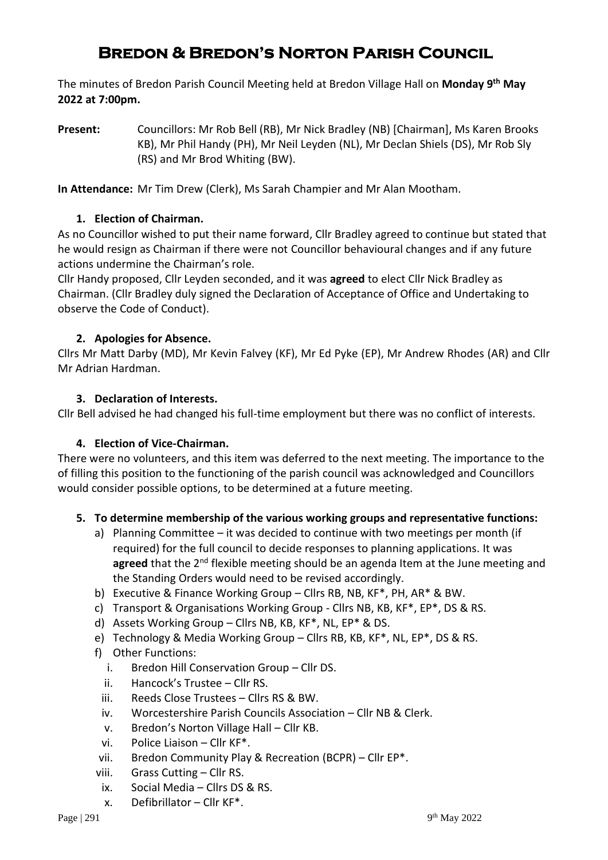# **Bredon & Bredon's Norton Parish Council**

The minutes of Bredon Parish Council Meeting held at Bredon Village Hall on **Monday 9 th May 2022 at 7:00pm.**

**Present:** Councillors: Mr Rob Bell (RB), Mr Nick Bradley (NB) [Chairman], Ms Karen Brooks KB), Mr Phil Handy (PH), Mr Neil Leyden (NL), Mr Declan Shiels (DS), Mr Rob Sly (RS) and Mr Brod Whiting (BW).

**In Attendance:** Mr Tim Drew (Clerk), Ms Sarah Champier and Mr Alan Mootham.

## **1. Election of Chairman.**

As no Councillor wished to put their name forward, Cllr Bradley agreed to continue but stated that he would resign as Chairman if there were not Councillor behavioural changes and if any future actions undermine the Chairman's role.

Cllr Handy proposed, Cllr Leyden seconded, and it was **agreed** to elect Cllr Nick Bradley as Chairman. (Cllr Bradley duly signed the Declaration of Acceptance of Office and Undertaking to observe the Code of Conduct).

## **2. Apologies for Absence.**

Cllrs Mr Matt Darby (MD), Mr Kevin Falvey (KF), Mr Ed Pyke (EP), Mr Andrew Rhodes (AR) and Cllr Mr Adrian Hardman.

### **3. Declaration of Interests.**

Cllr Bell advised he had changed his full-time employment but there was no conflict of interests.

### **4. Election of Vice-Chairman.**

There were no volunteers, and this item was deferred to the next meeting. The importance to the of filling this position to the functioning of the parish council was acknowledged and Councillors would consider possible options, to be determined at a future meeting.

# **5. To determine membership of the various working groups and representative functions:**

- a) Planning Committee it was decided to continue with two meetings per month (if required) for the full council to decide responses to planning applications. It was agreed that the 2<sup>nd</sup> flexible meeting should be an agenda Item at the June meeting and the Standing Orders would need to be revised accordingly.
- b) Executive & Finance Working Group Cllrs RB, NB, KF\*, PH, AR\* & BW.
- c) Transport & Organisations Working Group Cllrs NB, KB, KF\*, EP\*, DS & RS.
- d) Assets Working Group Cllrs NB, KB, KF\*, NL, EP\* & DS.
- e) Technology & Media Working Group Cllrs RB, KB, KF\*, NL, EP\*, DS & RS.
- f) Other Functions:
	- i. Bredon Hill Conservation Group Cllr DS.
	- ii. Hancock's Trustee Cllr RS.
	- iii. Reeds Close Trustees Cllrs RS & BW.
	- iv. Worcestershire Parish Councils Association Cllr NB & Clerk.
	- v. Bredon's Norton Village Hall Cllr KB.
	- vi. Police Liaison Cllr KF\*.
- vii. Bredon Community Play & Recreation (BCPR) Cllr EP\*.
- viii. Grass Cutting Cllr RS.
	- ix. Social Media Cllrs DS & RS.
	- x. Defibrillator Cllr KF\*.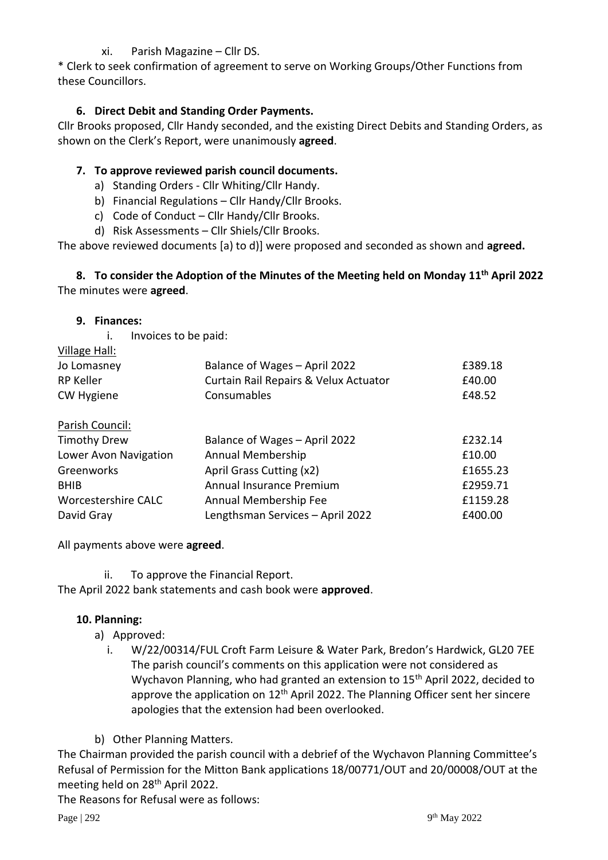### xi. Parish Magazine – Cllr DS.

\* Clerk to seek confirmation of agreement to serve on Working Groups/Other Functions from these Councillors.

#### **6. Direct Debit and Standing Order Payments.**

Cllr Brooks proposed, Cllr Handy seconded, and the existing Direct Debits and Standing Orders, as shown on the Clerk's Report, were unanimously **agreed**.

### **7. To approve reviewed parish council documents.**

- a) Standing Orders Cllr Whiting/Cllr Handy.
- b) Financial Regulations Cllr Handy/Cllr Brooks.
- c) Code of Conduct Cllr Handy/Cllr Brooks.
- d) Risk Assessments Cllr Shiels/Cllr Brooks.

The above reviewed documents [a) to d)] were proposed and seconded as shown and **agreed.**

**8. To consider the Adoption of the Minutes of the Meeting held on Monday 11th April 2022**  The minutes were **agreed**.

#### **9. Finances:**

i. Invoices to be paid:

| Village Hall:     |                                       |         |
|-------------------|---------------------------------------|---------|
| Jo Lomasney       | Balance of Wages - April 2022         | £389.18 |
| <b>RP Keller</b>  | Curtain Rail Repairs & Velux Actuator | £40.00  |
| <b>CW Hygiene</b> | Consumables                           | £48.52  |
| Parish Council    |                                       |         |

| <b>Timothy Drew</b>   | Balance of Wages - April 2022    | £232.14  |
|-----------------------|----------------------------------|----------|
| Lower Avon Navigation | Annual Membership                | £10.00   |
| Greenworks            | April Grass Cutting (x2)         | £1655.23 |
| <b>BHIB</b>           | Annual Insurance Premium         | £2959.71 |
| Worcestershire CALC   | Annual Membership Fee            | £1159.28 |
| David Gray            | Lengthsman Services - April 2022 | £400.00  |
|                       |                                  |          |

All payments above were **agreed**.

ii. To approve the Financial Report.

The April 2022 bank statements and cash book were **approved**.

#### **10. Planning:**

- a) Approved:
	- i. W/22/00314/FUL Croft Farm Leisure & Water Park, Bredon's Hardwick, GL20 7EE The parish council's comments on this application were not considered as Wychavon Planning, who had granted an extension to 15th April 2022, decided to approve the application on  $12<sup>th</sup>$  April 2022. The Planning Officer sent her sincere apologies that the extension had been overlooked.
- b) Other Planning Matters.

The Chairman provided the parish council with a debrief of the Wychavon Planning Committee's Refusal of Permission for the Mitton Bank applications 18/00771/OUT and 20/00008/OUT at the meeting held on 28th April 2022.

The Reasons for Refusal were as follows: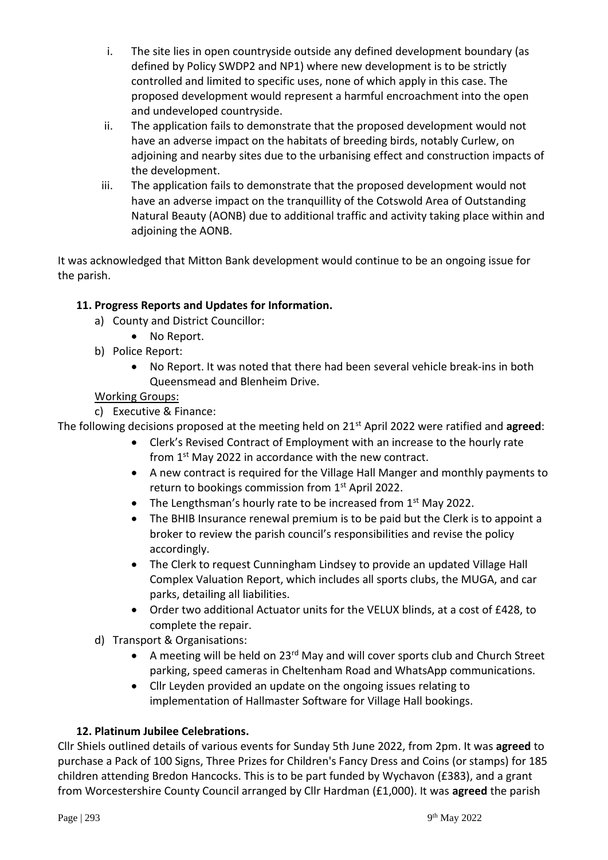- i. The site lies in open countryside outside any defined development boundary (as defined by Policy SWDP2 and NP1) where new development is to be strictly controlled and limited to specific uses, none of which apply in this case. The proposed development would represent a harmful encroachment into the open and undeveloped countryside.
- ii. The application fails to demonstrate that the proposed development would not have an adverse impact on the habitats of breeding birds, notably Curlew, on adjoining and nearby sites due to the urbanising effect and construction impacts of the development.
- iii. The application fails to demonstrate that the proposed development would not have an adverse impact on the tranquillity of the Cotswold Area of Outstanding Natural Beauty (AONB) due to additional traffic and activity taking place within and adjoining the AONB.

It was acknowledged that Mitton Bank development would continue to be an ongoing issue for the parish.

# **11. Progress Reports and Updates for Information.**

- a) County and District Councillor:
	- No Report.
- b) Police Report:
	- No Report. It was noted that there had been several vehicle break-ins in both Queensmead and Blenheim Drive.

### Working Groups:

c) Executive & Finance:

The following decisions proposed at the meeting held on 21st April 2022 were ratified and **agreed**:

- Clerk's Revised Contract of Employment with an increase to the hourly rate from 1<sup>st</sup> May 2022 in accordance with the new contract.
- A new contract is required for the Village Hall Manger and monthly payments to return to bookings commission from 1<sup>st</sup> April 2022.
- The Lengthsman's hourly rate to be increased from  $1<sup>st</sup>$  May 2022.
- The BHIB Insurance renewal premium is to be paid but the Clerk is to appoint a broker to review the parish council's responsibilities and revise the policy accordingly.
- The Clerk to request Cunningham Lindsey to provide an updated Village Hall Complex Valuation Report, which includes all sports clubs, the MUGA, and car parks, detailing all liabilities.
- Order two additional Actuator units for the VELUX blinds, at a cost of £428, to complete the repair.
- d) Transport & Organisations:
	- A meeting will be held on 23 $^{rd}$  May and will cover sports club and Church Street parking, speed cameras in Cheltenham Road and WhatsApp communications.
	- Cllr Leyden provided an update on the ongoing issues relating to implementation of Hallmaster Software for Village Hall bookings.

### **12. Platinum Jubilee Celebrations.**

Cllr Shiels outlined details of various events for Sunday 5th June 2022, from 2pm. It was **agreed** to purchase a Pack of 100 Signs, Three Prizes for Children's Fancy Dress and Coins (or stamps) for 185 children attending Bredon Hancocks. This is to be part funded by Wychavon (£383), and a grant from Worcestershire County Council arranged by Cllr Hardman (£1,000). It was **agreed** the parish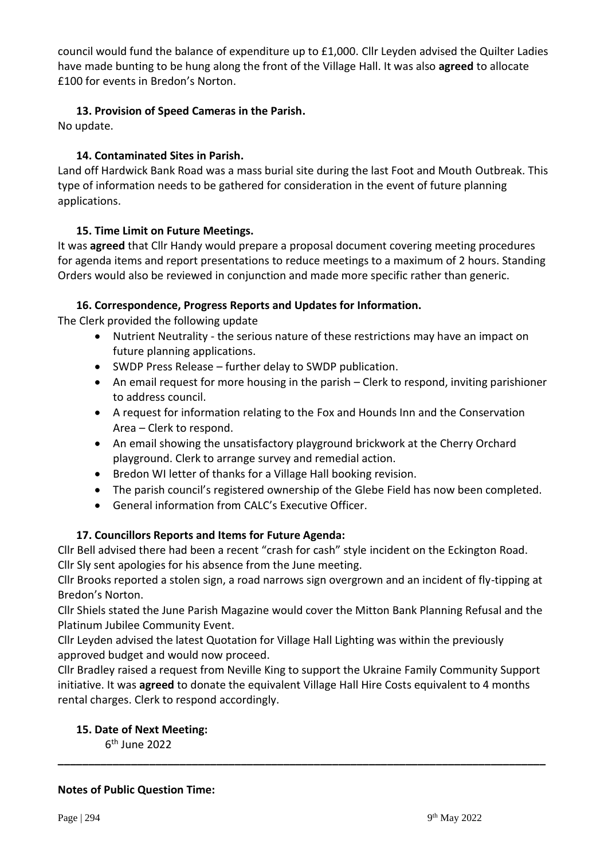council would fund the balance of expenditure up to £1,000. Cllr Leyden advised the Quilter Ladies have made bunting to be hung along the front of the Village Hall. It was also **agreed** to allocate £100 for events in Bredon's Norton.

### **13. Provision of Speed Cameras in the Parish.**

No update.

### **14. Contaminated Sites in Parish.**

Land off Hardwick Bank Road was a mass burial site during the last Foot and Mouth Outbreak. This type of information needs to be gathered for consideration in the event of future planning applications.

### **15. Time Limit on Future Meetings.**

It was **agreed** that Cllr Handy would prepare a proposal document covering meeting procedures for agenda items and report presentations to reduce meetings to a maximum of 2 hours. Standing Orders would also be reviewed in conjunction and made more specific rather than generic.

### **16. Correspondence, Progress Reports and Updates for Information.**

The Clerk provided the following update

- Nutrient Neutrality the serious nature of these restrictions may have an impact on future planning applications.
- SWDP Press Release further delay to SWDP publication.
- An email request for more housing in the parish Clerk to respond, inviting parishioner to address council.
- A request for information relating to the Fox and Hounds Inn and the Conservation Area – Clerk to respond.
- An email showing the unsatisfactory playground brickwork at the Cherry Orchard playground. Clerk to arrange survey and remedial action.
- Bredon WI letter of thanks for a Village Hall booking revision.
- The parish council's registered ownership of the Glebe Field has now been completed.
- General information from CALC's Executive Officer.

### **17. Councillors Reports and Items for Future Agenda:**

Cllr Bell advised there had been a recent "crash for cash" style incident on the Eckington Road. Cllr Sly sent apologies for his absence from the June meeting.

Cllr Brooks reported a stolen sign, a road narrows sign overgrown and an incident of fly-tipping at Bredon's Norton.

Cllr Shiels stated the June Parish Magazine would cover the Mitton Bank Planning Refusal and the Platinum Jubilee Community Event.

Cllr Leyden advised the latest Quotation for Village Hall Lighting was within the previously approved budget and would now proceed.

Cllr Bradley raised a request from Neville King to support the Ukraine Family Community Support initiative. It was **agreed** to donate the equivalent Village Hall Hire Costs equivalent to 4 months rental charges. Clerk to respond accordingly.

**\_\_\_\_\_\_\_\_\_\_\_\_\_\_\_\_\_\_\_\_\_\_\_\_\_\_\_\_\_\_\_\_\_\_\_\_\_\_\_\_\_\_\_\_\_\_\_\_\_\_\_\_\_\_\_\_\_\_\_\_\_\_\_\_\_\_\_\_\_\_\_\_\_\_\_\_\_\_\_\_**

### **15. Date of Next Meeting:**

6 th June 2022

#### **Notes of Public Question Time:**